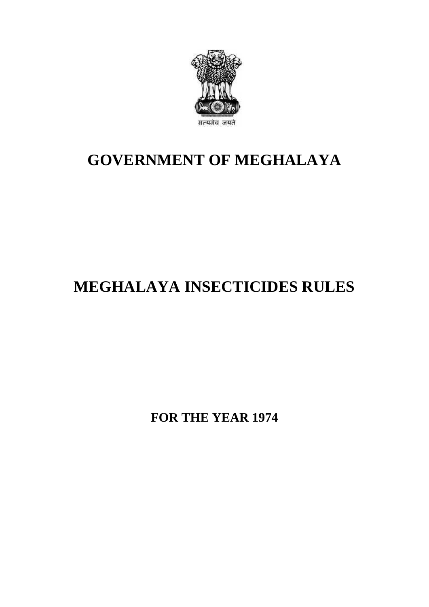

## **GOVERNMENT OF MEGHALAYA**

## **MEGHALAYA INSECTICIDES RULES**

**FOR THE YEAR 1974**